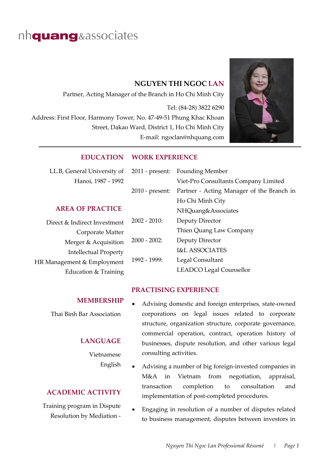# nh**quang**&associates

## **NGUYEN THI NGOC LAN**

Partner, Acting Manager of the Branch in Ho Chi Minh City Tel: (84-28) 3822 6290 Address: First Floor, Harmony Tower, No. 47-49-51 Phung Khac Khoan Street, Dakao Ward, District 1, Ho Chi Minh City E-mail: ngoclan@nhquang.com



## **EDUCATION WORK EXPERIENCE**

| LL.B, General University of  | $2011$ - present: | <b>Founding Member</b>                    |
|------------------------------|-------------------|-------------------------------------------|
| Hanoi, 1987 - 1992           |                   | Viet-Pro Consultants Company Limited      |
|                              | $2010$ - present: | Partner - Acting Manager of the Branch in |
|                              |                   | Ho Chi Minh City                          |
| <b>AREA OF PRACTICE</b>      |                   | NHQuang&Associates                        |
| Direct & Indirect Investment | $2002 - 2010$ :   | Deputy Director                           |
| Corporate Matter             |                   | Thien Quang Law Company                   |
| Merger & Acquisition         | $2000 - 2002$     | Deputy Director                           |
| <b>Intellectual Property</b> |                   | <b>I&amp;L ASSOCIATES</b>                 |
| HR Management & Employment   | $1992 - 1999$ :   | Legal Consultant                          |
| Education & Training         |                   | <b>LEADCO Legal Counsellor</b>            |

### **PRACTISING EXPERIENCE**

#### **MEMBERSHIP**

Thai Binh Bar Association

#### **LANGUAGE**

Vietnamese English

## **ACADEMIC ACTIVITY**

Training program in Dispute Resolution by Mediation -

- Advising domestic and foreign enterprises, state-owned corporations on legal issues related to corporate structure, organization structure, corporate governance, commercial operation, contract, operation history of businesses, dispute resolution, and other various legal consulting activities.
- Advising a number of big foreign-invested companies in M&A in Vietnam from negotiation, appraisal, transaction completion to consultation and implementation of post-completed procedures.
- Engaging in resolution of a number of disputes related to business management, disputes between investors in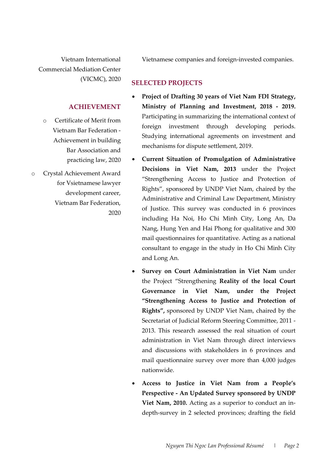Vietnam International Commercial Mediation Center (VICMC), 2020 Vietnamese companies and foreign-invested companies.

## **SELECTED PROJECTS**

#### **ACHIEVEMENT**

- o Certificate of Merit from Vietnam Bar Federation - Achievement in building Bar Association and practicing law, 2020
- o Crystal Achievement Award for Vsietnamese lawyer development career, Vietnam Bar Federation, 2020
- **Project of Drafting 30 years of Viet Nam FDI Strategy, Ministry of Planning and Investment, 2018 - 2019.**  Participating in summarizing the international context of foreign investment through developing periods. Studying international agreements on investment and mechanisms for dispute settlement, 2019.
- **Current Situation of Promulgation of Administrative Decisions in Viet Nam, 2013** under the Project "Strengthening Access to Justice and Protection of Rights", sponsored by UNDP Viet Nam, chaired by the Administrative and Criminal Law Department, Ministry of Justice. This survey was conducted in 6 provinces including Ha Noi, Ho Chi Minh City, Long An, Da Nang, Hung Yen and Hai Phong for qualitative and 300 mail questionnaires for quantitative. Acting as a national consultant to engage in the study in Ho Chi Minh City and Long An.
- **Survey on Court Administration in Viet Nam** under the Project "Strengthening **Reality of the local Court Governance in Viet Nam, under the Project "Strengthening Access to Justice and Protection of Rights",** sponsored by UNDP Viet Nam, chaired by the Secretariat of Judicial Reform Steering Committee, 2011 - 2013. This research assessed the real situation of court administration in Viet Nam through direct interviews and discussions with stakeholders in 6 provinces and mail questionnaire survey over more than 4,000 judges nationwide.
- **Access to Justice in Viet Nam from a People's Perspective - An Updated Survey sponsored by UNDP Viet Nam, 2010.** Acting as a superior to conduct an indepth-survey in 2 selected provinces; drafting the field